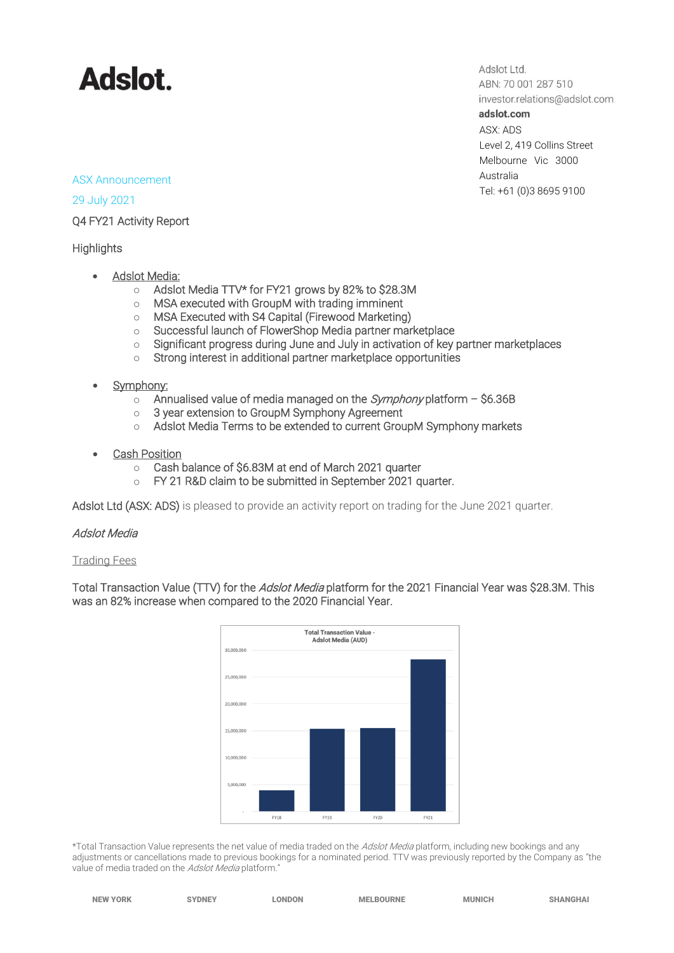# **Adslot.**

Adslot Ltd. ABN: 70 001 287 510 investor.relations@adslot.com adslot.com ASX: ADS Level 2, 419 Collins Street Melbourne Vic 3000 Australia Tel: +61 (0)3 8695 9100

#### ASX Announcement

29 July 2021

Q4 FY21 Activity Report

### **Highlights**

- Adslot Media:
	- o Adslot Media TTV\* for FY21 grows by 82% to \$28.3M
	- o MSA executed with GroupM with trading imminent
	- o MSA Executed with S4 Capital (Firewood Marketing)
	- o Successful launch of FlowerShop Media partner marketplace
	- o Significant progress during June and July in activation of key partner marketplaces
	- o Strong interest in additional partner marketplace opportunities
- Symphony:
	- $\circ$  Annualised value of media managed on the *Symphony* platform \$6.36B
	- o 3 year extension to GroupM Symphony Agreement
	- o Adslot Media Terms to be extended to current GroupM Symphony markets
- **Cash Position** 
	- o Cash balance of \$6.83M at end of March 2021 quarter
	- o FY 21 R&D claim to be submitted in September 2021 quarter.

Adslot Ltd (ASX: ADS) is pleased to provide an activity report on trading for the June 2021 quarter.

#### Adslot Media

Trading Fees

Total Transaction Value (TTV) for the Adslot Media platform for the 2021 Financial Year was \$28.3M. This was an 82% increase when compared to the 2020 Financial Year.



\*Total Transaction Value represents the net value of media traded on the Adslot Media platform, including new bookings and any adjustments or cancellations made to previous bookings for a nominated period. TTV was previously reported by the Company as "the value of media traded on the Adslot Media platform."

| <b>NEW YORK</b> | <b>SYDNEY</b> | <b>LONDON</b> | <b>MELBOURNE</b> | <b>MUNICH</b> | <b>SHANGHAI</b> |
|-----------------|---------------|---------------|------------------|---------------|-----------------|
|                 |               |               |                  |               |                 |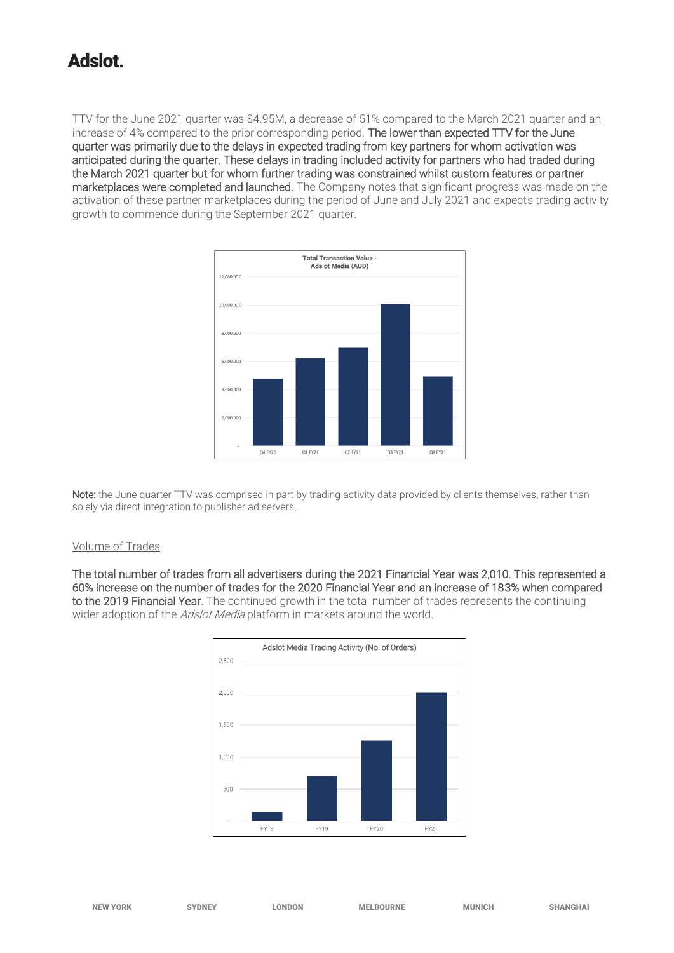TTV for the June 2021 quarter was \$4.95M, a decrease of 51% compared to the March 2021 quarter and an increase of 4% compared to the prior corresponding period. The lower than expected TTV for the June quarter was primarily due to the delays in expected trading from key partners for whom activation was anticipated during the quarter. These delays in trading included activity for partners who had traded during the March 2021 quarter but for whom further trading was constrained whilst custom features or partner marketplaces were completed and launched. The Company notes that significant progress was made on the activation of these partner marketplaces during the period of June and July 2021 and expects trading activity growth to commence during the September 2021 quarter.



Note: the June quarter TTV was comprised in part by trading activity data provided by clients themselves, rather than solely via direct integration to publisher ad servers,.

#### Volume of Trades

The total number of trades from all advertisers during the 2021 Financial Year was 2,010. This represented a 60% increase on the number of trades for the 2020 Financial Year and an increase of 183% when compared to the 2019 Financial Year. The continued growth in the total number of trades represents the continuing wider adoption of the *Adslot Media* platform in markets around the world.

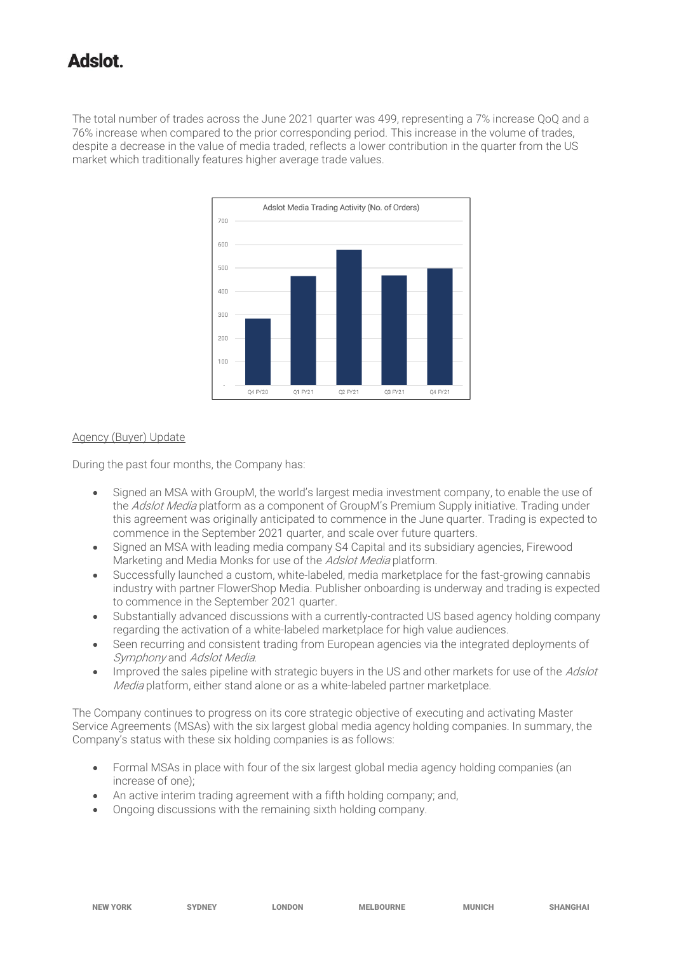The total number of trades across the June 2021 quarter was 499, representing a 7% increase QoQ and a 76% increase when compared to the prior corresponding period. This increase in the volume of trades, despite a decrease in the value of media traded, reflects a lower contribution in the quarter from the US market which traditionally features higher average trade values.



#### Agency (Buyer) Update

During the past four months, the Company has:

- Signed an MSA with GroupM, the world's largest media investment company, to enable the use of the Adslot Media platform as a component of GroupM's Premium Supply initiative. Trading under this agreement was originally anticipated to commence in the June quarter. Trading is expected to commence in the September 2021 quarter, and scale over future quarters.
- Signed an MSA with leading media company S4 Capital and its subsidiary agencies, Firewood Marketing and Media Monks for use of the Adslot Media platform.
- Successfully launched a custom, white-labeled, media marketplace for the fast-growing cannabis industry with partner FlowerShop Media. Publisher onboarding is underway and trading is expected to commence in the September 2021 quarter.
- Substantially advanced discussions with a currently-contracted US based agency holding company regarding the activation of a white-labeled marketplace for high value audiences.
- Seen recurring and consistent trading from European agencies via the integrated deployments of Symphony and Adslot Media.
- Improved the sales pipeline with strategic buyers in the US and other markets for use of the Adslot Media platform, either stand alone or as a white-labeled partner marketplace.

The Company continues to progress on its core strategic objective of executing and activating Master Service Agreements (MSAs) with the six largest global media agency holding companies. In summary, the Company's status with these six holding companies is as follows:

- Formal MSAs in place with four of the six largest global media agency holding companies (an increase of one);
- An active interim trading agreement with a fifth holding company; and,
- Ongoing discussions with the remaining sixth holding company.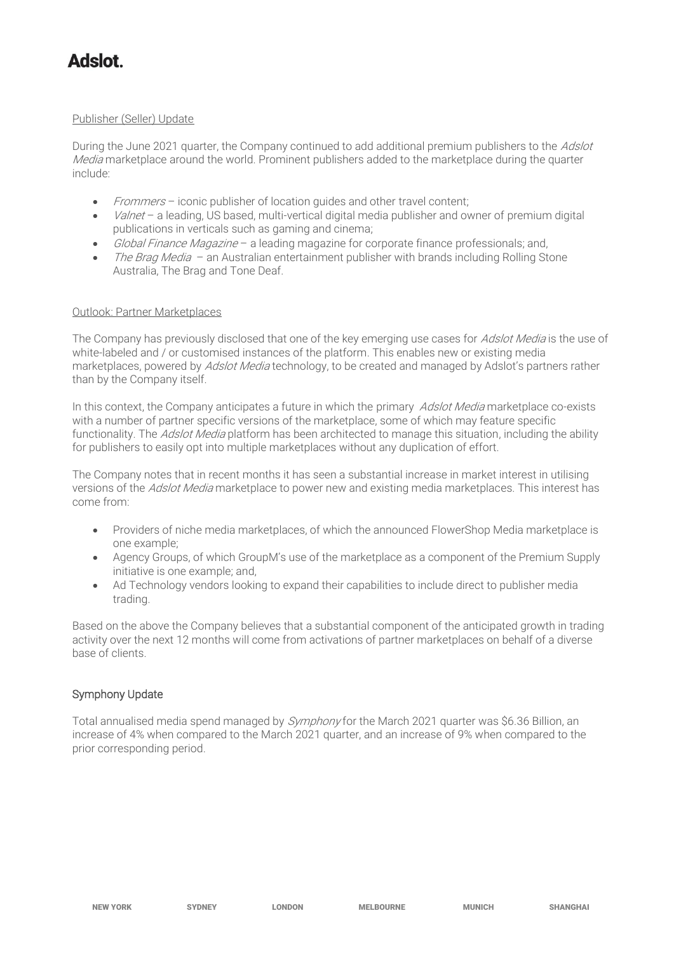#### Publisher (Seller) Update

During the June 2021 quarter, the Company continued to add additional premium publishers to the Adslot Media marketplace around the world. Prominent publishers added to the marketplace during the quarter include:

- Frommers iconic publisher of location guides and other travel content;
- Valnet a leading, US based, multi-vertical digital media publisher and owner of premium digital publications in verticals such as gaming and cinema;
- Global Finance Magazine a leading magazine for corporate finance professionals; and,
- *The Brag Media* an Australian entertainment publisher with brands including Rolling Stone Australia, The Brag and Tone Deaf.

#### Outlook: Partner Marketplaces

The Company has previously disclosed that one of the key emerging use cases for Adslot Media is the use of white-labeled and / or customised instances of the platform. This enables new or existing media marketplaces, powered by *Adslot Media* technology, to be created and managed by Adslot's partners rather than by the Company itself.

In this context, the Company anticipates a future in which the primary *Adslot Media* marketplace co-exists with a number of partner specific versions of the marketplace, some of which may feature specific functionality. The *Adslot Media* platform has been architected to manage this situation, including the ability for publishers to easily opt into multiple marketplaces without any duplication of effort.

The Company notes that in recent months it has seen a substantial increase in market interest in utilising versions of the Adslot Media marketplace to power new and existing media marketplaces. This interest has come from:

- Providers of niche media marketplaces, of which the announced FlowerShop Media marketplace is one example;
- Agency Groups, of which GroupM's use of the marketplace as a component of the Premium Supply initiative is one example; and,
- Ad Technology vendors looking to expand their capabilities to include direct to publisher media trading.

Based on the above the Company believes that a substantial component of the anticipated growth in trading activity over the next 12 months will come from activations of partner marketplaces on behalf of a diverse base of clients.

### Symphony Update

Total annualised media spend managed by *Symphony* for the March 2021 quarter was \$6.36 Billion, an increase of 4% when compared to the March 2021 quarter, and an increase of 9% when compared to the prior corresponding period.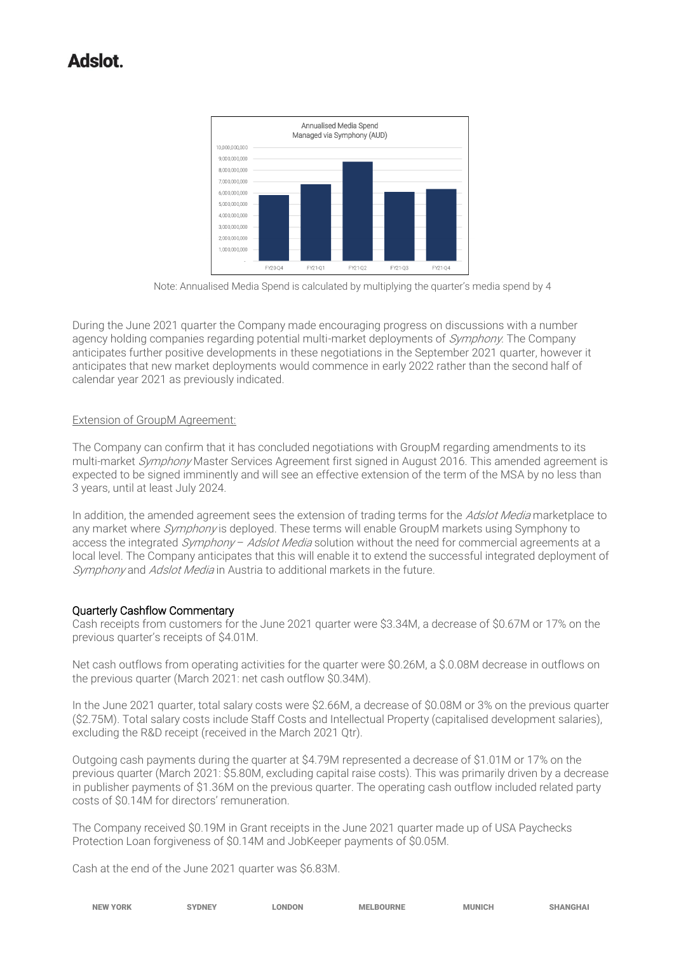

Note: Annualised Media Spend is calculated by multiplying the quarter's media spend by 4

During the June 2021 quarter the Company made encouraging progress on discussions with a number agency holding companies regarding potential multi-market deployments of Symphony. The Company anticipates further positive developments in these negotiations in the September 2021 quarter, however it anticipates that new market deployments would commence in early 2022 rather than the second half of calendar year 2021 as previously indicated.

#### Extension of GroupM Agreement:

The Company can confirm that it has concluded negotiations with GroupM regarding amendments to its multi-market Symphony Master Services Agreement first signed in August 2016. This amended agreement is expected to be signed imminently and will see an effective extension of the term of the MSA by no less than 3 years, until at least July 2024.

In addition, the amended agreement sees the extension of trading terms for the Adslot Media marketplace to any market where *Symphony* is deployed. These terms will enable GroupM markets using Symphony to access the integrated *Symphony - Adslot Media* solution without the need for commercial agreements at a local level. The Company anticipates that this will enable it to extend the successful integrated deployment of Symphony and Adslot Media in Austria to additional markets in the future.

### Quarterly Cashflow Commentary

Cash receipts from customers for the June 2021 quarter were \$3.34M, a decrease of \$0.67M or 17% on the previous quarter's receipts of \$4.01M.

Net cash outflows from operating activities for the quarter were \$0.26M, a \$.0.08M decrease in outflows on the previous quarter (March 2021: net cash outflow \$0.34M).

In the June 2021 quarter, total salary costs were \$2.66M, a decrease of \$0.08M or 3% on the previous quarter (\$2.75M). Total salary costs include Staff Costs and Intellectual Property (capitalised development salaries), excluding the R&D receipt (received in the March 2021 Qtr).

Outgoing cash payments during the quarter at \$4.79M represented a decrease of \$1.01M or 17% on the previous quarter (March 2021: \$5.80M, excluding capital raise costs). This was primarily driven by a decrease in publisher payments of \$1.36M on the previous quarter. The operating cash outflow included related party costs of \$0.14M for directors' remuneration.

The Company received \$0.19M in Grant receipts in the June 2021 quarter made up of USA Paychecks Protection Loan forgiveness of \$0.14M and JobKeeper payments of \$0.05M.

Cash at the end of the June 2021 quarter was \$6.83M.

| <b>NEW YORK</b> | <b>NONEY</b> | <b>LONDON</b><br>the contract of the contract of the contract of the contract of the contract of the contract of the contract of | <b>MELBOURNE</b> | <b>MUNICH</b> | <b>SHANGHAI</b> |
|-----------------|--------------|----------------------------------------------------------------------------------------------------------------------------------|------------------|---------------|-----------------|
|                 |              |                                                                                                                                  |                  |               |                 |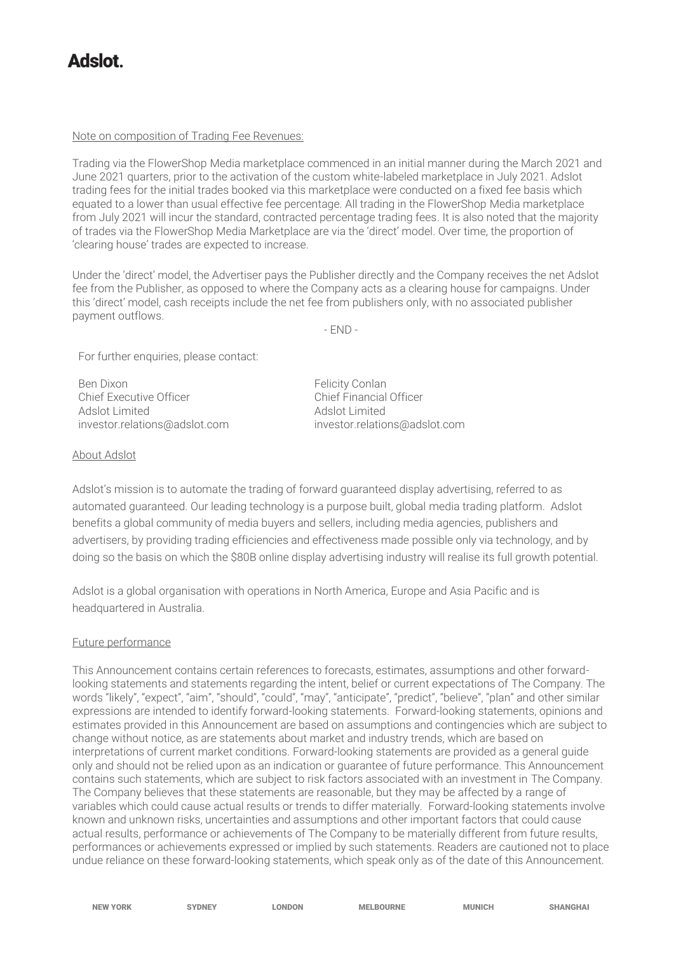#### Note on composition of Trading Fee Revenues:

Trading via the FlowerShop Media marketplace commenced in an initial manner during the March 2021 and June 2021 quarters, prior to the activation of the custom white-labeled marketplace in July 2021. Adslot trading fees for the initial trades booked via this marketplace were conducted on a fixed fee basis which equated to a lower than usual effective fee percentage. All trading in the FlowerShop Media marketplace from July 2021 will incur the standard, contracted percentage trading fees. It is also noted that the majority of trades via the FlowerShop Media Marketplace are via the 'direct' model. Over time, the proportion of 'clearing house' trades are expected to increase.

Under the 'direct' model, the Advertiser pays the Publisher directly and the Company receives the net Adslot fee from the Publisher, as opposed to where the Company acts as a clearing house for campaigns. Under this 'direct' model, cash receipts include the net fee from publishers only, with no associated publisher payment outflows.

- END -

For further enquiries, please contact:

Ben Dixon **Felicity Conlan** Chief Executive Officer **Chief Executive Officer** Chief Financial Officer Adslot Limited Adslot Limited

[investor.relations@adslot.com](mailto:info@adslot.com.au) investor.relations@adslot.com

#### About Adslot

Adslot's mission is to automate the trading of forward guaranteed display advertising, referred to as automated guaranteed. Our leading technology is a purpose built, global media trading platform. Adslot benefits a global community of media buyers and sellers, including media agencies, publishers and advertisers, by providing trading efficiencies and effectiveness made possible only via technology, and by doing so the basis on which the \$80B online display advertising industry will realise its full growth potential.

Adslot is a global organisation with operations in North America, Europe and Asia Pacific and is headquartered in Australia.

#### Future performance

This Announcement contains certain references to forecasts, estimates, assumptions and other forwardlooking statements and statements regarding the intent, belief or current expectations of The Company. The words "likely", "expect", "aim", "should", "could", "may", "anticipate", "predict", "believe", "plan" and other similar expressions are intended to identify forward-looking statements. Forward-looking statements, opinions and estimates provided in this Announcement are based on assumptions and contingencies which are subject to change without notice, as are statements about market and industry trends, which are based on interpretations of current market conditions. Forward-looking statements are provided as a general guide only and should not be relied upon as an indication or guarantee of future performance. This Announcement contains such statements, which are subject to risk factors associated with an investment in The Company. The Company believes that these statements are reasonable, but they may be affected by a range of variables which could cause actual results or trends to differ materially. Forward-looking statements involve known and unknown risks, uncertainties and assumptions and other important factors that could cause actual results, performance or achievements of The Company to be materially different from future results, performances or achievements expressed or implied by such statements. Readers are cautioned not to place undue reliance on these forward-looking statements, which speak only as of the date of this Announcement.

NEW YORK SYDNEY LONDON MELBOURNE MUNICH SHANGHAI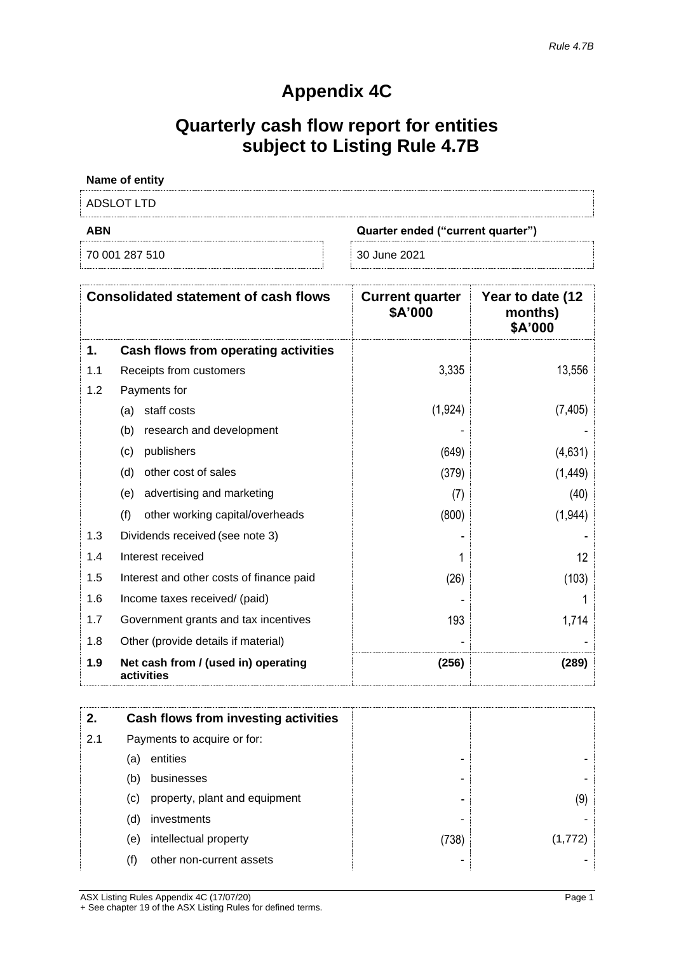### **Appendix 4C**

# **Quarterly cash flow report for entities subject to Listing Rule 4.7B**

| Name of entity |                                   |
|----------------|-----------------------------------|
| ADSLOT LTD     |                                   |
| <b>ABN</b>     | Quarter ended ("current quarter") |
| 70 001 287 510 | 30 June 2021                      |

| <b>Consolidated statement of cash flows</b> |                                                   | <b>Current quarter</b><br>\$A'000 | Year to date (12<br>months)<br>\$A'000 |
|---------------------------------------------|---------------------------------------------------|-----------------------------------|----------------------------------------|
| 1.                                          | Cash flows from operating activities              |                                   |                                        |
| 1.1                                         | Receipts from customers                           | 3,335                             | 13,556                                 |
| 1.2                                         | Payments for                                      |                                   |                                        |
|                                             | staff costs<br>(a)                                | (1, 924)                          | (7, 405)                               |
|                                             | (b)<br>research and development                   |                                   |                                        |
|                                             | publishers<br>(c)                                 | (649)                             | (4,631)                                |
|                                             | other cost of sales<br>(d)                        | (379)                             | (1, 449)                               |
|                                             | advertising and marketing<br>(e)                  | (7)                               | (40)                                   |
|                                             | (f)<br>other working capital/overheads            | (800)                             | (1,944)                                |
| 1.3                                         | Dividends received (see note 3)                   |                                   |                                        |
| 1.4                                         | Interest received                                 |                                   | 12                                     |
| 1.5                                         | Interest and other costs of finance paid          | (26)                              | (103)                                  |
| 1.6                                         | Income taxes received/ (paid)                     |                                   |                                        |
| 1.7                                         | Government grants and tax incentives              | 193                               | 1,714                                  |
| 1.8                                         | Other (provide details if material)               |                                   |                                        |
| 1.9                                         | Net cash from / (used in) operating<br>activities | (256)                             | (289)                                  |

| 2.  |                             | Cash flows from investing activities |       |         |
|-----|-----------------------------|--------------------------------------|-------|---------|
| 2.1 | Payments to acquire or for: |                                      |       |         |
|     | (a)                         | entities                             | -     |         |
|     | (b)                         | businesses                           | -     |         |
|     | $\left( \mathrm{c}\right)$  | property, plant and equipment        | -     | (9)     |
|     | (d)                         | investments                          |       |         |
|     | (e)                         | intellectual property                | (738) | (1,772) |
|     | (f)                         | other non-current assets             |       |         |

ASX Listing Rules Appendix 4C (17/07/20) Page 1 + See chapter 19 of the ASX Listing Rules for defined terms.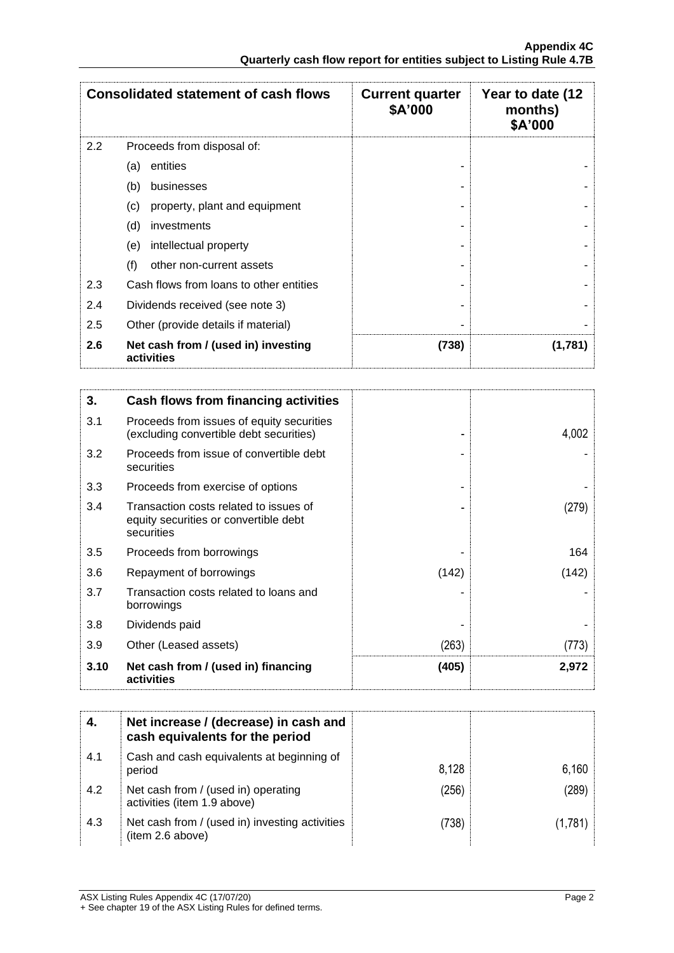| <b>Consolidated statement of cash flows</b> |                                                   | <b>Current quarter</b><br>\$A'000 | Year to date (12<br>months)<br>\$A'000 |
|---------------------------------------------|---------------------------------------------------|-----------------------------------|----------------------------------------|
| 2.2                                         | Proceeds from disposal of:                        |                                   |                                        |
|                                             | entities<br>(a)                                   |                                   |                                        |
|                                             | (b)<br>businesses                                 |                                   |                                        |
|                                             | property, plant and equipment<br>(c)              |                                   |                                        |
|                                             | (d)<br>investments                                |                                   |                                        |
|                                             | intellectual property<br>(e)                      |                                   |                                        |
|                                             | (f)<br>other non-current assets                   |                                   |                                        |
| 2.3                                         | Cash flows from loans to other entities           |                                   |                                        |
| 2.4                                         | Dividends received (see note 3)                   |                                   |                                        |
| 2.5                                         | Other (provide details if material)               |                                   |                                        |
| 2.6                                         | Net cash from / (used in) investing<br>activities | (738)                             | (1,781)                                |

| 3.   | Cash flows from financing activities                                                          |       |       |
|------|-----------------------------------------------------------------------------------------------|-------|-------|
| 3.1  | Proceeds from issues of equity securities<br>(excluding convertible debt securities)          |       | 4,002 |
| 3.2  | Proceeds from issue of convertible debt<br>securities                                         |       |       |
| 3.3  | Proceeds from exercise of options                                                             |       |       |
| 3.4  | Transaction costs related to issues of<br>equity securities or convertible debt<br>securities |       | (279) |
| 3.5  | Proceeds from borrowings                                                                      |       | 164   |
| 3.6  | Repayment of borrowings                                                                       | (142) | (142) |
| 3.7  | Transaction costs related to loans and<br>borrowings                                          |       |       |
| 3.8  | Dividends paid                                                                                |       |       |
| 3.9  | Other (Leased assets)                                                                         | (263) | (773) |
| 3.10 | Net cash from / (used in) financing<br>activities                                             | (405) | 2,972 |

|     | Net increase / (decrease) in cash and<br>cash equivalents for the period |       |       |
|-----|--------------------------------------------------------------------------|-------|-------|
| 4.1 | Cash and cash equivalents at beginning of<br>period                      | 8.128 | 6,160 |
| 4.2 | Net cash from / (used in) operating<br>activities (item 1.9 above)       | (256) | (289) |
| 4.3 | Net cash from / (used in) investing activities<br>(item 2.6 above)       | (738) | 1.781 |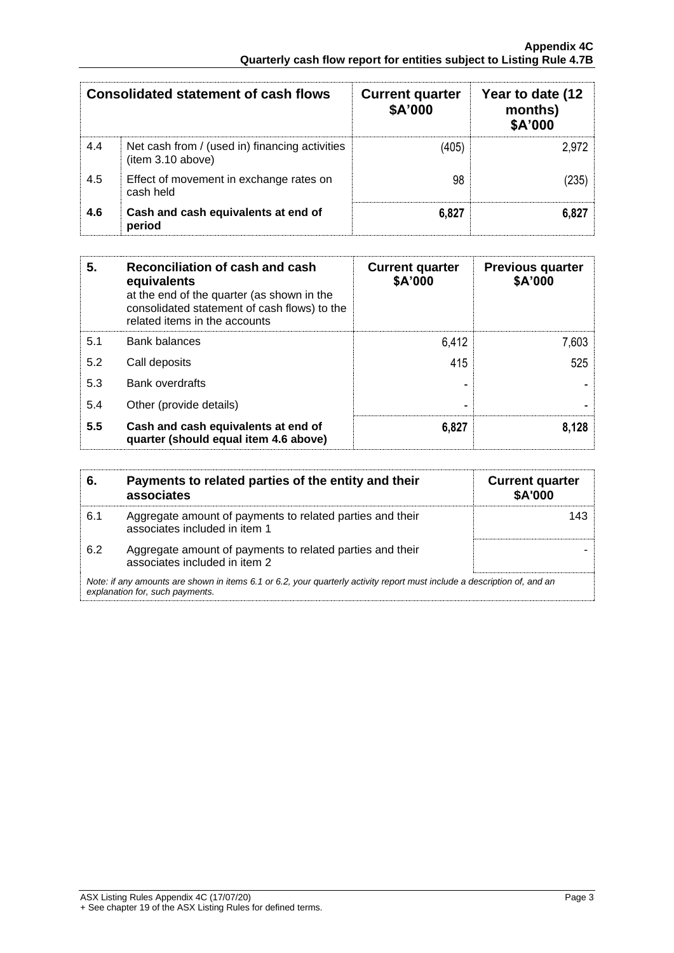| <b>Consolidated statement of cash flows</b> |                                                                    | <b>Current quarter</b><br>\$A'000 | Year to date (12<br>months)<br>\$A'000 |
|---------------------------------------------|--------------------------------------------------------------------|-----------------------------------|----------------------------------------|
| 4.4                                         | Net cash from / (used in) financing activities<br>item 3.10 above) | (405)                             | 2.972                                  |
| 4.5                                         | Effect of movement in exchange rates on<br>cash held               | 98                                | (235)                                  |
| 4.6                                         | Cash and cash equivalents at end of<br>period                      | 6,827                             | 6,827                                  |

| 5.  | Reconciliation of cash and cash<br>equivalents<br>at the end of the quarter (as shown in the<br>consolidated statement of cash flows) to the<br>related items in the accounts | <b>Current quarter</b><br>\$A'000 | <b>Previous quarter</b><br>\$A'000 |
|-----|-------------------------------------------------------------------------------------------------------------------------------------------------------------------------------|-----------------------------------|------------------------------------|
| 5.1 | <b>Bank balances</b>                                                                                                                                                          | 6,412                             | 7,603                              |
| 5.2 | Call deposits                                                                                                                                                                 | 415                               | 525                                |
| 5.3 | Bank overdrafts                                                                                                                                                               |                                   |                                    |
| 5.4 | Other (provide details)                                                                                                                                                       |                                   |                                    |
| 5.5 | Cash and cash equivalents at end of<br>quarter (should equal item 4.6 above)                                                                                                  | 6,827                             | 8.128                              |

| 6.  | Payments to related parties of the entity and their<br>associates                                                                                           | <b>Current quarter</b><br><b>\$A'000</b> |
|-----|-------------------------------------------------------------------------------------------------------------------------------------------------------------|------------------------------------------|
| 6.1 | Aggregate amount of payments to related parties and their<br>associates included in item 1                                                                  | 143                                      |
| 6.2 | Aggregate amount of payments to related parties and their<br>associates included in item 2                                                                  |                                          |
|     | Note: if any amounts are shown in items 6.1 or 6.2, your quarterly activity report must include a description of, and an<br>explanation for, such payments. |                                          |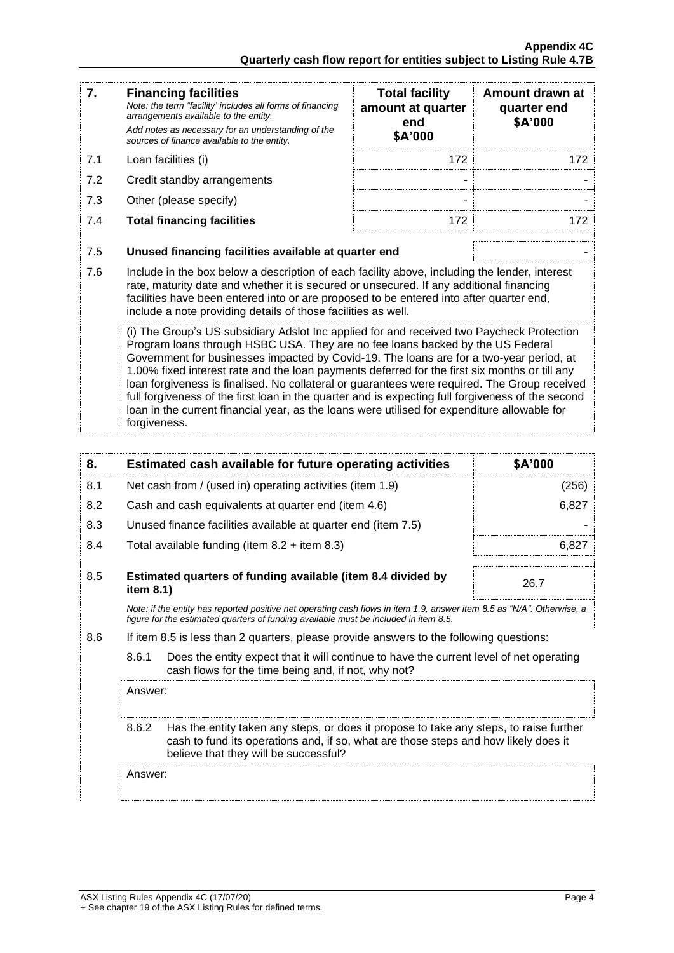| 7.                                                                                                                                                                                                                                                                                                                                                                                                                                                                                                                                                                                                                                                                                           | <b>Financing facilities</b><br>Note: the term "facility' includes all forms of financing<br>arrangements available to the entity.<br>Add notes as necessary for an understanding of the<br>sources of finance available to the entity.                                                                                                               | <b>Total facility</b><br>amount at quarter<br>end<br>\$A'000 | Amount drawn at<br>quarter end<br>\$A'000 |
|----------------------------------------------------------------------------------------------------------------------------------------------------------------------------------------------------------------------------------------------------------------------------------------------------------------------------------------------------------------------------------------------------------------------------------------------------------------------------------------------------------------------------------------------------------------------------------------------------------------------------------------------------------------------------------------------|------------------------------------------------------------------------------------------------------------------------------------------------------------------------------------------------------------------------------------------------------------------------------------------------------------------------------------------------------|--------------------------------------------------------------|-------------------------------------------|
| 7.1                                                                                                                                                                                                                                                                                                                                                                                                                                                                                                                                                                                                                                                                                          | Loan facilities (i)                                                                                                                                                                                                                                                                                                                                  | 172                                                          | 172                                       |
| 7.2                                                                                                                                                                                                                                                                                                                                                                                                                                                                                                                                                                                                                                                                                          | Credit standby arrangements                                                                                                                                                                                                                                                                                                                          |                                                              |                                           |
| 7.3                                                                                                                                                                                                                                                                                                                                                                                                                                                                                                                                                                                                                                                                                          | Other (please specify)                                                                                                                                                                                                                                                                                                                               |                                                              |                                           |
| 7.4                                                                                                                                                                                                                                                                                                                                                                                                                                                                                                                                                                                                                                                                                          | <b>Total financing facilities</b>                                                                                                                                                                                                                                                                                                                    | 172                                                          | 172                                       |
| 7.5                                                                                                                                                                                                                                                                                                                                                                                                                                                                                                                                                                                                                                                                                          | Unused financing facilities available at quarter end                                                                                                                                                                                                                                                                                                 |                                                              |                                           |
| 7.6                                                                                                                                                                                                                                                                                                                                                                                                                                                                                                                                                                                                                                                                                          | Include in the box below a description of each facility above, including the lender, interest<br>rate, maturity date and whether it is secured or unsecured. If any additional financing<br>facilities have been entered into or are proposed to be entered into after quarter end,<br>include a note providing details of those facilities as well. |                                                              |                                           |
| (i) The Group's US subsidiary Adslot Inc applied for and received two Paycheck Protection<br>Program loans through HSBC USA. They are no fee loans backed by the US Federal<br>Government for businesses impacted by Covid-19. The loans are for a two-year period, at<br>1.00% fixed interest rate and the loan payments deferred for the first six months or till any<br>loan forgiveness is finalised. No collateral or guarantees were required. The Group received<br>full forgiveness of the first loan in the quarter and is expecting full forgiveness of the second<br>loan in the current financial year, as the loans were utilised for expenditure allowable for<br>forgiveness. |                                                                                                                                                                                                                                                                                                                                                      |                                                              |                                           |

| 8.  |                                                                                                                                                                                                                                 | Estimated cash available for future operating activities                                                                                       | \$A'000 |
|-----|---------------------------------------------------------------------------------------------------------------------------------------------------------------------------------------------------------------------------------|------------------------------------------------------------------------------------------------------------------------------------------------|---------|
| 8.1 |                                                                                                                                                                                                                                 | Net cash from / (used in) operating activities (item 1.9)                                                                                      | (256)   |
| 8.2 |                                                                                                                                                                                                                                 | Cash and cash equivalents at quarter end (item 4.6)                                                                                            | 6,827   |
| 8.3 |                                                                                                                                                                                                                                 | Unused finance facilities available at quarter end (item 7.5)                                                                                  |         |
| 8.4 |                                                                                                                                                                                                                                 | Total available funding (item $8.2 +$ item $8.3$ )                                                                                             | 6,827   |
| 8.5 | Estimated quarters of funding available (item 8.4 divided by<br>item 8.1)                                                                                                                                                       |                                                                                                                                                | 26.7    |
|     | Note: if the entity has reported positive net operating cash flows in item 1.9, answer item 8.5 as "N/A". Otherwise, a<br>figure for the estimated guarters of funding available must be included in item 8.5.                  |                                                                                                                                                |         |
| 8.6 | If item 8.5 is less than 2 quarters, please provide answers to the following questions:                                                                                                                                         |                                                                                                                                                |         |
|     | 8.6.1                                                                                                                                                                                                                           | Does the entity expect that it will continue to have the current level of net operating<br>cash flows for the time being and, if not, why not? |         |
|     | Answer:                                                                                                                                                                                                                         |                                                                                                                                                |         |
|     | 8.6.2<br>Has the entity taken any steps, or does it propose to take any steps, to raise further<br>cash to fund its operations and, if so, what are those steps and how likely does it<br>believe that they will be successful? |                                                                                                                                                |         |
|     | Answer:                                                                                                                                                                                                                         |                                                                                                                                                |         |
|     |                                                                                                                                                                                                                                 |                                                                                                                                                |         |